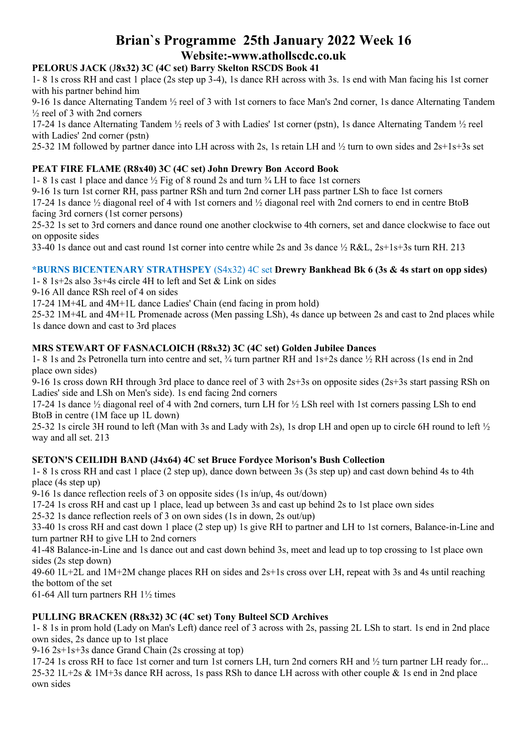# **Brian`s Programme 25th January 2022 Week 16 Website:-www.athollscdc.co.uk**

# **PELORUS JACK** (J**8x32) 3C (4C set) Barry Skelton RSCDS Book 41**

1- 8 1s cross RH and cast 1 place (2s step up 3-4), 1s dance RH across with 3s. 1s end with Man facing his 1st corner with his partner behind him

9-16 1s dance Alternating Tandem ½ reel of 3 with 1st corners to face Man's 2nd corner, 1s dance Alternating Tandem ½ reel of 3 with 2nd corners

17-24 1s dance Alternating Tandem ½ reels of 3 with Ladies' 1st corner (pstn), 1s dance Alternating Tandem ½ reel with Ladies' 2nd corner (pstn)

25-32 1M followed by partner dance into LH across with 2s, 1s retain LH and ½ turn to own sides and 2s+1s+3s set

# **PEAT FIRE FLAME (R8x40) 3C (4C set) John Drewry Bon Accord Book**

1- 8 1s cast 1 place and dance ½ Fig of 8 round 2s and turn ¾ LH to face 1st corners

9-16 1s turn 1st corner RH, pass partner RSh and turn 2nd corner LH pass partner LSh to face 1st corners

17-24 1s dance ½ diagonal reel of 4 with 1st corners and ½ diagonal reel with 2nd corners to end in centre BtoB facing 3rd corners (1st corner persons)

25-32 1s set to 3rd corners and dance round one another clockwise to 4th corners, set and dance clockwise to face out on opposite sides

33-40 1s dance out and cast round 1st corner into centre while 2s and 3s dance ½ R&L, 2s+1s+3s turn RH. 213

# **\*BURNS BICENTENARY STRATHSPEY** (S4x32) 4C set **Drewry Bankhead Bk 6 (3s & 4s start on opp sides)**

1- 8 1s+2s also 3s+4s circle 4H to left and Set & Link on sides

9-16 All dance RSh reel of 4 on sides

17-24 1M+4L and 4M+1L dance Ladies' Chain (end facing in prom hold)

25-32 1M+4L and 4M+1L Promenade across (Men passing LSh), 4s dance up between 2s and cast to 2nd places while 1s dance down and cast to 3rd places

# **MRS STEWART OF FASNACLOICH (R8x32) 3C (4C set) Golden Jubilee Dances**

1- 8 1s and 2s Petronella turn into centre and set, ¾ turn partner RH and 1s+2s dance ½ RH across (1s end in 2nd place own sides)

9-16 1s cross down RH through 3rd place to dance reel of 3 with 2s+3s on opposite sides (2s+3s start passing RSh on Ladies' side and LSh on Men's side). 1s end facing 2nd corners

17-24 1s dance  $\frac{1}{2}$  diagonal reel of 4 with 2nd corners, turn LH for  $\frac{1}{2}$  LSh reel with 1st corners passing LSh to end BtoB in centre (1M face up 1L down)

25-32 1s circle 3H round to left (Man with 3s and Lady with 2s), 1s drop LH and open up to circle 6H round to left ½ way and all set. 213

# **SETON'S CEILIDH BAND (J4x64) 4C set Bruce Fordyce Morison's Bush Collection**

1- 8 1s cross RH and cast 1 place (2 step up), dance down between 3s (3s step up) and cast down behind 4s to 4th place (4s step up)

9-16 1s dance reflection reels of 3 on opposite sides (1s in/up, 4s out/down)

17-24 1s cross RH and cast up 1 place, lead up between 3s and cast up behind 2s to 1st place own sides

25-32 1s dance reflection reels of 3 on own sides (1s in down, 2s out/up)

33-40 1s cross RH and cast down 1 place (2 step up) 1s give RH to partner and LH to 1st corners, Balance-in-Line and turn partner RH to give LH to 2nd corners

41-48 Balance-in-Line and 1s dance out and cast down behind 3s, meet and lead up to top crossing to 1st place own sides (2s step down)

49-60 1L+2L and 1M+2M change places RH on sides and 2s+1s cross over LH, repeat with 3s and 4s until reaching the bottom of the set

61-64 All turn partners RH 1½ times

# **PULLING BRACKEN (R8x32) 3C (4C set) Tony Bulteel SCD Archives**

1- 8 1s in prom hold (Lady on Man's Left) dance reel of 3 across with 2s, passing 2L LSh to start. 1s end in 2nd place own sides, 2s dance up to 1st place

9-16 2s+1s+3s dance Grand Chain (2s crossing at top)

17-24 1s cross RH to face 1st corner and turn 1st corners LH, turn 2nd corners RH and ½ turn partner LH ready for... 25-32 1L+2s & 1M+3s dance RH across, 1s pass RSh to dance LH across with other couple & 1s end in 2nd place own sides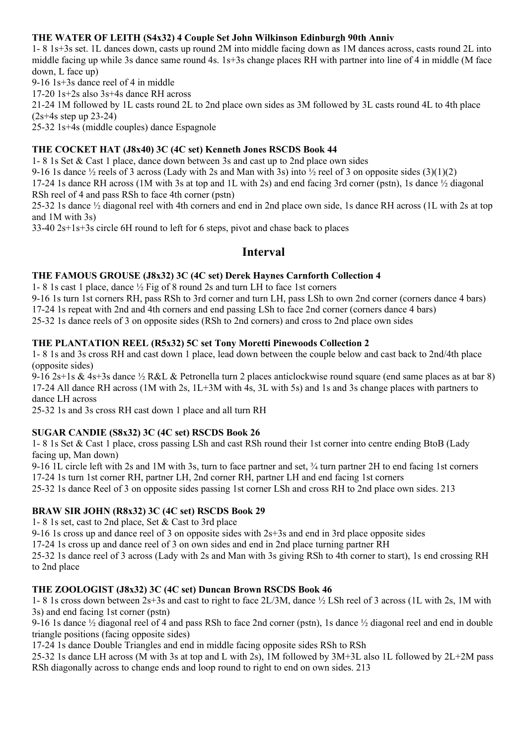# **THE WATER OF LEITH (S4x32) 4 Couple Set John Wilkinson Edinburgh 90th Anniv**

1- 8 1s+3s set. 1L dances down, casts up round 2M into middle facing down as 1M dances across, casts round 2L into middle facing up while 3s dance same round 4s. 1s+3s change places RH with partner into line of 4 in middle (M face down, L face up)

9-16 1s+3s dance reel of 4 in middle

17-20 1s+2s also 3s+4s dance RH across

21-24 1M followed by 1L casts round 2L to 2nd place own sides as 3M followed by 3L casts round 4L to 4th place (2s+4s step up 23-24)

25-32 1s+4s (middle couples) dance Espagnole

# **THE COCKET HAT (J8x40) 3C (4C set) Kenneth Jones RSCDS Book 44**

1- 8 1s Set & Cast 1 place, dance down between 3s and cast up to 2nd place own sides

9-16 1s dance  $\frac{1}{2}$  reels of 3 across (Lady with 2s and Man with 3s) into  $\frac{1}{2}$  reel of 3 on opposite sides (3)(1)(2)

17-24 1s dance RH across (1M with 3s at top and 1L with 2s) and end facing 3rd corner (pstn), 1s dance ½ diagonal RSh reel of 4 and pass RSh to face 4th corner (pstn)

25-32 1s dance ½ diagonal reel with 4th corners and end in 2nd place own side, 1s dance RH across (1L with 2s at top and 1M with 3s)

33-40 2s+1s+3s circle 6H round to left for 6 steps, pivot and chase back to places

# **Interval**

# **THE FAMOUS GROUSE (J8x32) 3C (4C set) Derek Haynes Carnforth Collection 4**

1- 8 1s cast 1 place, dance ½ Fig of 8 round 2s and turn LH to face 1st corners

9-16 1s turn 1st corners RH, pass RSh to 3rd corner and turn LH, pass LSh to own 2nd corner (corners dance 4 bars) 17-24 1s repeat with 2nd and 4th corners and end passing LSh to face 2nd corner (corners dance 4 bars) 25-32 1s dance reels of 3 on opposite sides (RSh to 2nd corners) and cross to 2nd place own sides

# **THE PLANTATION REEL (R5x32) 5C set Tony Moretti Pinewoods Collection 2**

1- 8 1s and 3s cross RH and cast down 1 place, lead down between the couple below and cast back to 2nd/4th place (opposite sides)

9-16 2s+1s & 4s+3s dance ½ R&L & Petronella turn 2 places anticlockwise round square (end same places as at bar 8) 17-24 All dance RH across (1M with 2s, 1L+3M with 4s, 3L with 5s) and 1s and 3s change places with partners to dance LH across

25-32 1s and 3s cross RH cast down 1 place and all turn RH

# **SUGAR CANDIE (S8x32) 3C (4C set) RSCDS Book 26**

1- 8 1s Set & Cast 1 place, cross passing LSh and cast RSh round their 1st corner into centre ending BtoB (Lady facing up, Man down)

9-16 1L circle left with 2s and 1M with 3s, turn to face partner and set, ¾ turn partner 2H to end facing 1st corners 17-24 1s turn 1st corner RH, partner LH, 2nd corner RH, partner LH and end facing 1st corners

25-32 1s dance Reel of 3 on opposite sides passing 1st corner LSh and cross RH to 2nd place own sides. 213

# **BRAW SIR JOHN (R8x32) 3C (4C set) RSCDS Book 29**

1- 8 1s set, cast to 2nd place, Set & Cast to 3rd place

9-16 1s cross up and dance reel of 3 on opposite sides with 2s+3s and end in 3rd place opposite sides

17-24 1s cross up and dance reel of 3 on own sides and end in 2nd place turning partner RH

25-32 1s dance reel of 3 across (Lady with 2s and Man with 3s giving RSh to 4th corner to start), 1s end crossing RH to 2nd place

# **THE ZOOLOGIST (J8x32) 3C (4C set) Duncan Brown RSCDS Book 46**

1- 8 1s cross down between 2s+3s and cast to right to face 2L/3M, dance ½ LSh reel of 3 across (1L with 2s, 1M with 3s) and end facing 1st corner (pstn)

9-16 1s dance ½ diagonal reel of 4 and pass RSh to face 2nd corner (pstn), 1s dance ½ diagonal reel and end in double triangle positions (facing opposite sides)

17-24 1s dance Double Triangles and end in middle facing opposite sides RSh to RSh

25-32 1s dance LH across (M with 3s at top and L with 2s), 1M followed by 3M+3L also 1L followed by 2L+2M pass RSh diagonally across to change ends and loop round to right to end on own sides. 213